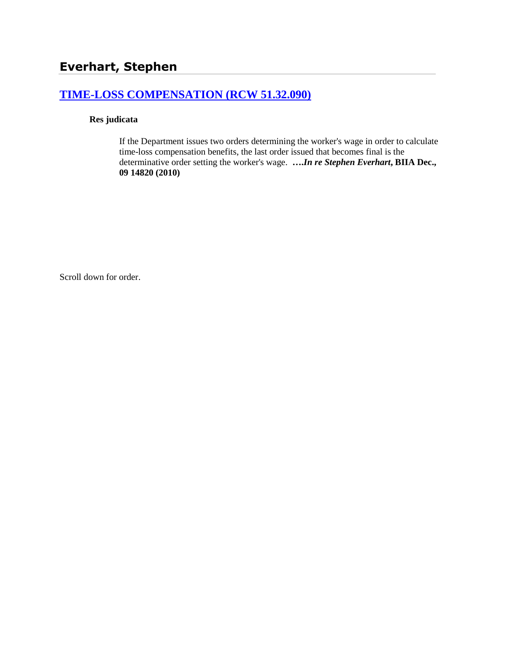# **[TIME-LOSS COMPENSATION \(RCW 51.32.090\)](http://www.biia.wa.gov/SDSubjectIndex.html#TIME_LOSS_COMPENSATION)**

### **Res judicata**

If the Department issues two orders determining the worker's wage in order to calculate time-loss compensation benefits, the last order issued that becomes final is the determinative order setting the worker's wage. **….***In re Stephen Everhart***, BIIA Dec., 09 14820 (2010)**

Scroll down for order.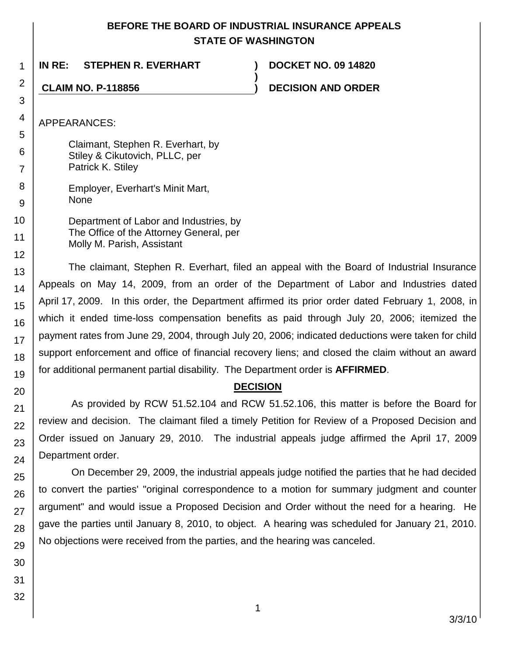## **BEFORE THE BOARD OF INDUSTRIAL INSURANCE APPEALS STATE OF WASHINGTON**

**)**

**IN RE: STEPHEN R. EVERHART ) DOCKET NO. 09 14820**

**CLAIM NO. P-118856 ) DECISION AND ORDER**

APPEARANCES:

1

2

3

4

5 6

7

8 9

10

11

Claimant, Stephen R. Everhart, by Stiley & Cikutovich, PLLC, per Patrick K. Stiley

Employer, Everhart's Minit Mart, None

12 Department of Labor and Industries, by The Office of the Attorney General, per Molly M. Parish, Assistant

The claimant, Stephen R. Everhart, filed an appeal with the Board of Industrial Insurance Appeals on May 14, 2009, from an order of the Department of Labor and Industries dated April 17, 2009. In this order, the Department affirmed its prior order dated February 1, 2008, in which it ended time-loss compensation benefits as paid through July 20, 2006; itemized the payment rates from June 29, 2004, through July 20, 2006; indicated deductions were taken for child support enforcement and office of financial recovery liens; and closed the claim without an award for additional permanent partial disability. The Department order is **AFFIRMED**.

# **DECISION**

As provided by RCW 51.52.104 and RCW 51.52.106, this matter is before the Board for review and decision. The claimant filed a timely Petition for Review of a Proposed Decision and Order issued on January 29, 2010. The industrial appeals judge affirmed the April 17, 2009 Department order.

On December 29, 2009, the industrial appeals judge notified the parties that he had decided to convert the parties' "original correspondence to a motion for summary judgment and counter argument" and would issue a Proposed Decision and Order without the need for a hearing. He gave the parties until January 8, 2010, to object. A hearing was scheduled for January 21, 2010. No objections were received from the parties, and the hearing was canceled.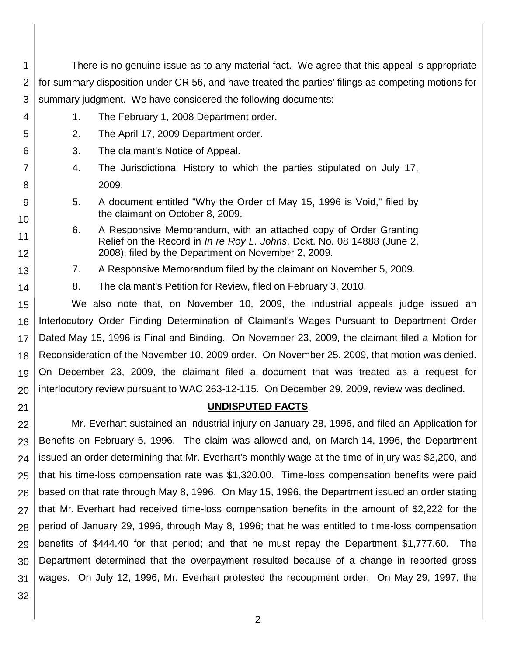| 1       | There is no genuine issue as to any material fact. We agree that this appeal is appropriate         |                                                                                                                                |  |  |  |  |
|---------|-----------------------------------------------------------------------------------------------------|--------------------------------------------------------------------------------------------------------------------------------|--|--|--|--|
| 2       | for summary disposition under CR 56, and have treated the parties' filings as competing motions for |                                                                                                                                |  |  |  |  |
| 3       | summary judgment. We have considered the following documents:                                       |                                                                                                                                |  |  |  |  |
| 4       | 1.                                                                                                  | The February 1, 2008 Department order.                                                                                         |  |  |  |  |
| 5       | 2.                                                                                                  | The April 17, 2009 Department order.                                                                                           |  |  |  |  |
| 6       | 3.                                                                                                  | The claimant's Notice of Appeal.                                                                                               |  |  |  |  |
| 7       | 4.<br>The Jurisdictional History to which the parties stipulated on July 17,                        |                                                                                                                                |  |  |  |  |
| 8       | 2009.                                                                                               |                                                                                                                                |  |  |  |  |
| 9<br>10 | 5.                                                                                                  | A document entitled "Why the Order of May 15, 1996 is Void," filed by<br>the claimant on October 8, 2009.                      |  |  |  |  |
| 11      | 6.                                                                                                  | A Responsive Memorandum, with an attached copy of Order Granting                                                               |  |  |  |  |
| 12      |                                                                                                     | Relief on the Record in In re Roy L. Johns, Dckt. No. 08 14888 (June 2,<br>2008), filed by the Department on November 2, 2009. |  |  |  |  |
| 13      | 7.                                                                                                  | A Responsive Memorandum filed by the claimant on November 5, 2009.                                                             |  |  |  |  |
| 14      | 8.                                                                                                  | The claimant's Petition for Review, filed on February 3, 2010.                                                                 |  |  |  |  |
| 15      | We also note that, on November 10, 2009, the industrial appeals judge issued an                     |                                                                                                                                |  |  |  |  |
| 16      | Interlocutory Order Finding Determination of Claimant's Wages Pursuant to Department Order          |                                                                                                                                |  |  |  |  |
| 17      | Dated May 15, 1996 is Final and Binding. On November 23, 2009, the claimant filed a Motion for      |                                                                                                                                |  |  |  |  |
| 18      | Reconsideration of the November 10, 2009 order. On November 25, 2009, that motion was denied.       |                                                                                                                                |  |  |  |  |
| 19      | On December 23, 2009, the claimant filed a document that was treated as a request for               |                                                                                                                                |  |  |  |  |
| 20      | interlocutory review pursuant to WAC 263-12-115. On December 29, 2009, review was declined.         |                                                                                                                                |  |  |  |  |
| 21      | <b>UNDISPUTED FACTS</b>                                                                             |                                                                                                                                |  |  |  |  |
| 22      | Mr. Everhart sustained an industrial injury on January 28, 1996, and filed an Application for       |                                                                                                                                |  |  |  |  |
| 23      | Benefits on February 5, 1996. The claim was allowed and, on March 14, 1996, the Department          |                                                                                                                                |  |  |  |  |
| 24      | issued an order determining that Mr. Everhart's monthly wage at the time of injury was \$2,200, and |                                                                                                                                |  |  |  |  |
| 25      | that his time-loss compensation rate was \$1,320.00. Time-loss compensation benefits were paid      |                                                                                                                                |  |  |  |  |
| 26      | based on that rate through May 8, 1996. On May 15, 1996, the Department issued an order stating     |                                                                                                                                |  |  |  |  |
| 27      | that Mr. Everhart had received time-loss compensation benefits in the amount of \$2,222 for the     |                                                                                                                                |  |  |  |  |
| 28      | period of January 29, 1996, through May 8, 1996; that he was entitled to time-loss compensation     |                                                                                                                                |  |  |  |  |

28 29 30 31 benefits of \$444.40 for that period; and that he must repay the Department \$1,777.60. The Department determined that the overpayment resulted because of a change in reported gross wages. On July 12, 1996, Mr. Everhart protested the recoupment order. On May 29, 1997, the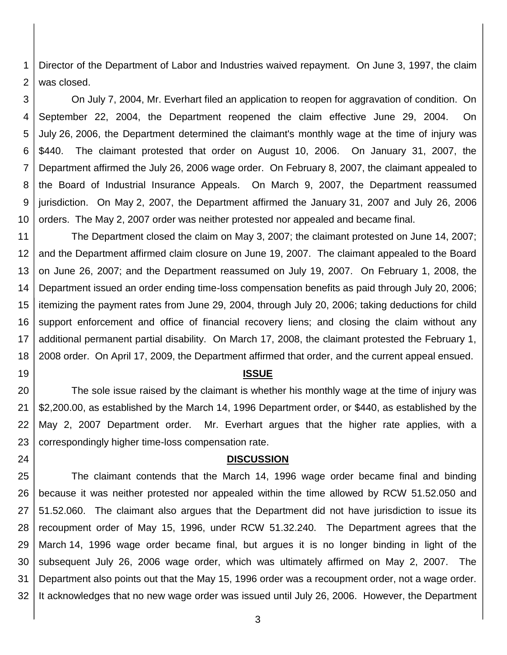1 2 Director of the Department of Labor and Industries waived repayment. On June 3, 1997, the claim was closed.

3 4 5 6 7 8 9 10 On July 7, 2004, Mr. Everhart filed an application to reopen for aggravation of condition. On September 22, 2004, the Department reopened the claim effective June 29, 2004. On July 26, 2006, the Department determined the claimant's monthly wage at the time of injury was \$440. The claimant protested that order on August 10, 2006. On January 31, 2007, the Department affirmed the July 26, 2006 wage order. On February 8, 2007, the claimant appealed to the Board of Industrial Insurance Appeals. On March 9, 2007, the Department reassumed jurisdiction. On May 2, 2007, the Department affirmed the January 31, 2007 and July 26, 2006 orders. The May 2, 2007 order was neither protested nor appealed and became final.

11 12 13 14 15 16 17 18 The Department closed the claim on May 3, 2007; the claimant protested on June 14, 2007; and the Department affirmed claim closure on June 19, 2007. The claimant appealed to the Board on June 26, 2007; and the Department reassumed on July 19, 2007. On February 1, 2008, the Department issued an order ending time-loss compensation benefits as paid through July 20, 2006; itemizing the payment rates from June 29, 2004, through July 20, 2006; taking deductions for child support enforcement and office of financial recovery liens; and closing the claim without any additional permanent partial disability. On March 17, 2008, the claimant protested the February 1, 2008 order. On April 17, 2009, the Department affirmed that order, and the current appeal ensued.

#### **ISSUE**

19

24

20 21 22 23 The sole issue raised by the claimant is whether his monthly wage at the time of injury was \$2,200.00, as established by the March 14, 1996 Department order, or \$440, as established by the May 2, 2007 Department order. Mr. Everhart argues that the higher rate applies, with a correspondingly higher time-loss compensation rate.

#### **DISCUSSION**

25 26 27 28 29 30 31 32 The claimant contends that the March 14, 1996 wage order became final and binding because it was neither protested nor appealed within the time allowed by RCW 51.52.050 and 51.52.060. The claimant also argues that the Department did not have jurisdiction to issue its recoupment order of May 15, 1996, under RCW 51.32.240. The Department agrees that the March 14, 1996 wage order became final, but argues it is no longer binding in light of the subsequent July 26, 2006 wage order, which was ultimately affirmed on May 2, 2007. The Department also points out that the May 15, 1996 order was a recoupment order, not a wage order. It acknowledges that no new wage order was issued until July 26, 2006. However, the Department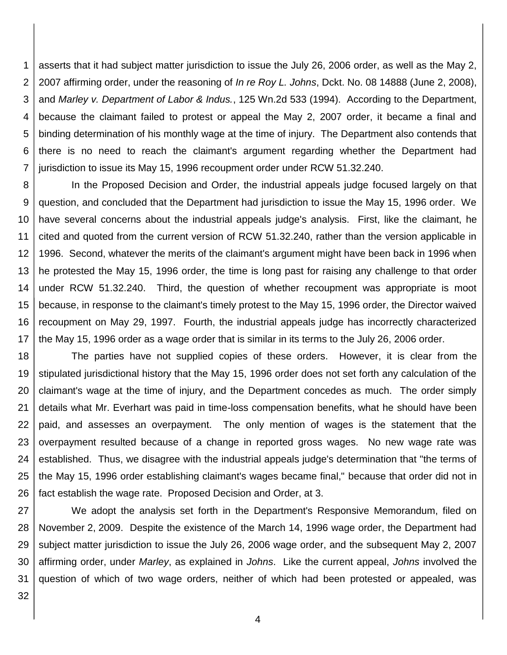1 2 3 4 5 6 7 asserts that it had subject matter jurisdiction to issue the July 26, 2006 order, as well as the May 2, 2007 affirming order, under the reasoning of *In re Roy L. Johns*, Dckt. No. 08 14888 (June 2, 2008), and *Marley v. Department of Labor & Indus.*, 125 Wn.2d 533 (1994). According to the Department, because the claimant failed to protest or appeal the May 2, 2007 order, it became a final and binding determination of his monthly wage at the time of injury. The Department also contends that there is no need to reach the claimant's argument regarding whether the Department had jurisdiction to issue its May 15, 1996 recoupment order under RCW 51.32.240.

8 9 10 11 12 13 14 15 16 17 In the Proposed Decision and Order, the industrial appeals judge focused largely on that question, and concluded that the Department had jurisdiction to issue the May 15, 1996 order. We have several concerns about the industrial appeals judge's analysis. First, like the claimant, he cited and quoted from the current version of RCW 51.32.240, rather than the version applicable in 1996. Second, whatever the merits of the claimant's argument might have been back in 1996 when he protested the May 15, 1996 order, the time is long past for raising any challenge to that order under RCW 51.32.240. Third, the question of whether recoupment was appropriate is moot because, in response to the claimant's timely protest to the May 15, 1996 order, the Director waived recoupment on May 29, 1997. Fourth, the industrial appeals judge has incorrectly characterized the May 15, 1996 order as a wage order that is similar in its terms to the July 26, 2006 order.

18 19 20 21 22 23 24 25 26 The parties have not supplied copies of these orders. However, it is clear from the stipulated jurisdictional history that the May 15, 1996 order does not set forth any calculation of the claimant's wage at the time of injury, and the Department concedes as much. The order simply details what Mr. Everhart was paid in time-loss compensation benefits, what he should have been paid, and assesses an overpayment. The only mention of wages is the statement that the overpayment resulted because of a change in reported gross wages. No new wage rate was established. Thus, we disagree with the industrial appeals judge's determination that "the terms of the May 15, 1996 order establishing claimant's wages became final," because that order did not in fact establish the wage rate. Proposed Decision and Order, at 3.

27 28 29 30 31 We adopt the analysis set forth in the Department's Responsive Memorandum, filed on November 2, 2009. Despite the existence of the March 14, 1996 wage order, the Department had subject matter jurisdiction to issue the July 26, 2006 wage order, and the subsequent May 2, 2007 affirming order, under *Marley*, as explained in *Johns*. Like the current appeal, *Johns* involved the question of which of two wage orders, neither of which had been protested or appealed, was

32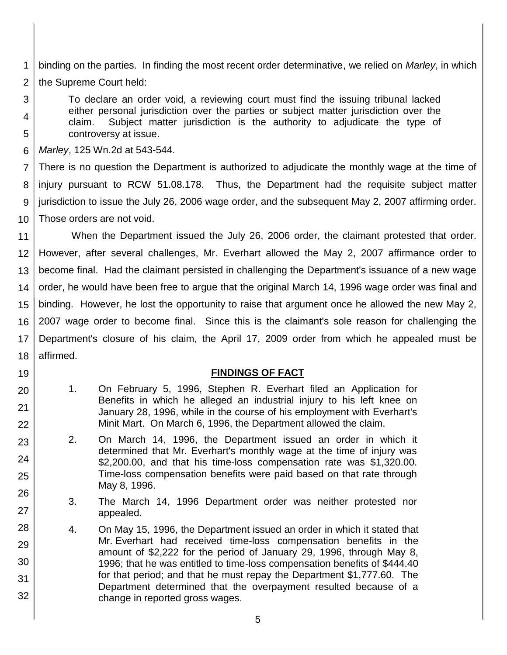1 2 binding on the parties. In finding the most recent order determinative, we relied on *Marley*, in which the Supreme Court held:

To declare an order void, a reviewing court must find the issuing tribunal lacked either personal jurisdiction over the parties or subject matter jurisdiction over the claim. Subject matter jurisdiction is the authority to adjudicate the type of controversy at issue.

6 *Marley*, 125 Wn.2d at 543-544.

3

4

5

19

20

21

22

23

24

25

26

27

28

29

30

31

32

7 8 9 10 There is no question the Department is authorized to adjudicate the monthly wage at the time of injury pursuant to RCW 51.08.178. Thus, the Department had the requisite subject matter jurisdiction to issue the July 26, 2006 wage order, and the subsequent May 2, 2007 affirming order. Those orders are not void.

11 12 13 14 15 16 17 18 When the Department issued the July 26, 2006 order, the claimant protested that order. However, after several challenges, Mr. Everhart allowed the May 2, 2007 affirmance order to become final. Had the claimant persisted in challenging the Department's issuance of a new wage order, he would have been free to argue that the original March 14, 1996 wage order was final and binding. However, he lost the opportunity to raise that argument once he allowed the new May 2, 2007 wage order to become final. Since this is the claimant's sole reason for challenging the Department's closure of his claim, the April 17, 2009 order from which he appealed must be affirmed.

### **FINDINGS OF FACT**

- 1. On February 5, 1996, Stephen R. Everhart filed an Application for Benefits in which he alleged an industrial injury to his left knee on January 28, 1996, while in the course of his employment with Everhart's Minit Mart. On March 6, 1996, the Department allowed the claim.
- 2. On March 14, 1996, the Department issued an order in which it determined that Mr. Everhart's monthly wage at the time of injury was \$2,200.00, and that his time-loss compensation rate was \$1,320.00. Time-loss compensation benefits were paid based on that rate through May 8, 1996.
	- 3. The March 14, 1996 Department order was neither protested nor appealed.
- 4. On May 15, 1996, the Department issued an order in which it stated that Mr. Everhart had received time-loss compensation benefits in the amount of \$2,222 for the period of January 29, 1996, through May 8, 1996; that he was entitled to time-loss compensation benefits of \$444.40 for that period; and that he must repay the Department \$1,777.60. The Department determined that the overpayment resulted because of a change in reported gross wages.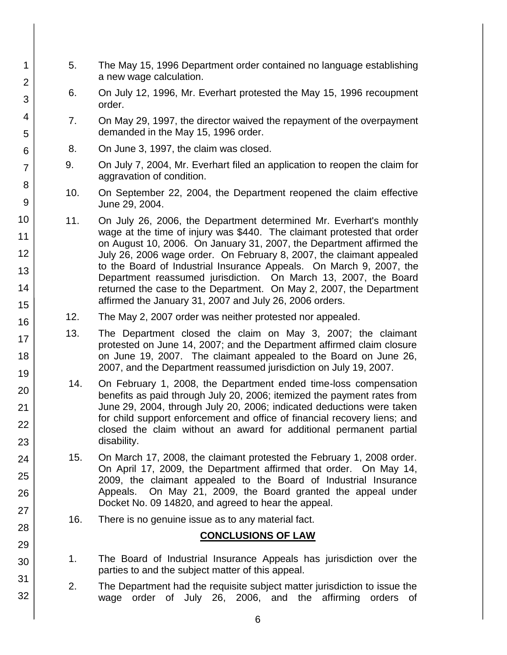- 5. The May 15, 1996 Department order contained no language establishing a new wage calculation.
	- 6. On July 12, 1996, Mr. Everhart protested the May 15, 1996 recoupment order.
	- 7. On May 29, 1997, the director waived the repayment of the overpayment demanded in the May 15, 1996 order.
- 8. On June 3, 1997, the claim was closed.

1

2

3

4

5

6

7

8

9 10

11

12

13

14

15

16

17

18

19

20

21 22

23

24

25

26

27

28

29

30

31

32

- 9. On July 7, 2004, Mr. Everhart filed an application to reopen the claim for aggravation of condition.
- 10. On September 22, 2004, the Department reopened the claim effective June 29, 2004.
- 11. On July 26, 2006, the Department determined Mr. Everhart's monthly wage at the time of injury was \$440. The claimant protested that order on August 10, 2006. On January 31, 2007, the Department affirmed the July 26, 2006 wage order. On February 8, 2007, the claimant appealed to the Board of Industrial Insurance Appeals. On March 9, 2007, the Department reassumed jurisdiction. On March 13, 2007, the Board returned the case to the Department. On May 2, 2007, the Department affirmed the January 31, 2007 and July 26, 2006 orders.
- 12. The May 2, 2007 order was neither protested nor appealed.
- 13. The Department closed the claim on May 3, 2007; the claimant protested on June 14, 2007; and the Department affirmed claim closure on June 19, 2007. The claimant appealed to the Board on June 26, 2007, and the Department reassumed jurisdiction on July 19, 2007.
- 14. On February 1, 2008, the Department ended time-loss compensation benefits as paid through July 20, 2006; itemized the payment rates from June 29, 2004, through July 20, 2006; indicated deductions were taken for child support enforcement and office of financial recovery liens; and closed the claim without an award for additional permanent partial disability.
- 15. On March 17, 2008, the claimant protested the February 1, 2008 order. On April 17, 2009, the Department affirmed that order. On May 14, 2009, the claimant appealed to the Board of Industrial Insurance Appeals. On May 21, 2009, the Board granted the appeal under Docket No. 09 14820, and agreed to hear the appeal.
- 16. There is no genuine issue as to any material fact.

## **CONCLUSIONS OF LAW**

- 1. The Board of Industrial Insurance Appeals has jurisdiction over the parties to and the subject matter of this appeal.
- 2. The Department had the requisite subject matter jurisdiction to issue the wage order of July 26, 2006, and the affirming orders of